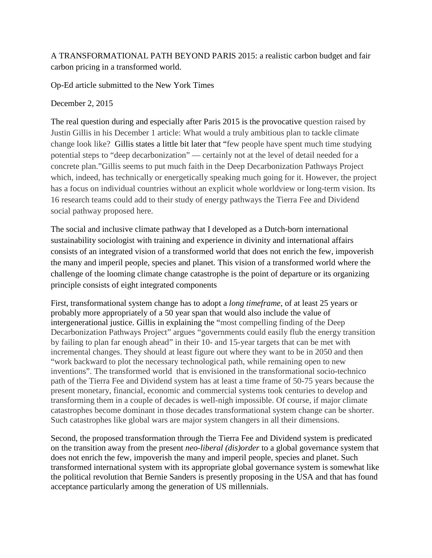## A TRANSFORMATIONAL PATH BEYOND PARIS 2015: a realistic carbon budget and fair carbon pricing in a transformed world.

Op-Ed article submitted to the New York Times

## December 2, 2015

The real question during and especially after Paris 2015 is the provocative question raised by Justin Gillis in his December 1 article: What would a truly ambitious plan to tackle climate change look like? Gillis states a little bit later that "few people have spent much time studying potential steps to "deep decarbonization" — certainly not at the level of detail needed for a concrete plan."Gillis seems to put much faith in the Deep Decarbonization Pathways Project which, indeed, has technically or energetically speaking much going for it. However, the project has a focus on individual countries without an explicit whole worldview or long-term vision. Its 16 research teams could add to their study of energy pathways the Tierra Fee and Dividend social pathway proposed here.

The social and inclusive climate pathway that I developed as a Dutch-born international sustainability sociologist with training and experience in divinity and international affairs consists of an integrated vision of a transformed world that does not enrich the few, impoverish the many and imperil people, species and planet. This vision of a transformed world where the challenge of the looming climate change catastrophe is the point of departure or its organizing principle consists of eight integrated components

First, transformational system change has to adopt a *long timeframe*, of at least 25 years or probably more appropriately of a 50 year span that would also include the value of intergenerational justice. Gillis in explaining the "most compelling finding of the Deep Decarbonization Pathways Project" argues "governments could easily flub the energy transition by failing to plan far enough ahead" in their 10- and 15-year targets that can be met with incremental changes. They should at least figure out where they want to be in 2050 and then "work backward to plot the necessary technological path, while remaining open to new inventions". The transformed world that is envisioned in the transformational socio-technico path of the Tierra Fee and Dividend system has at least a time frame of 50-75 years because the present monetary, financial, economic and commercial systems took centuries to develop and transforming them in a couple of decades is well-nigh impossible. Of course, if major climate catastrophes become dominant in those decades transformational system change can be shorter. Such catastrophes like global wars are major system changers in all their dimensions.

Second, the proposed transformation through the Tierra Fee and Dividend system is predicated on the transition away from the present *neo-liberal (dis)order* to a global governance system that does not enrich the few, impoverish the many and imperil people, species and planet. Such transformed international system with its appropriate global governance system is somewhat like the political revolution that Bernie Sanders is presently proposing in the USA and that has found acceptance particularly among the generation of US millennials.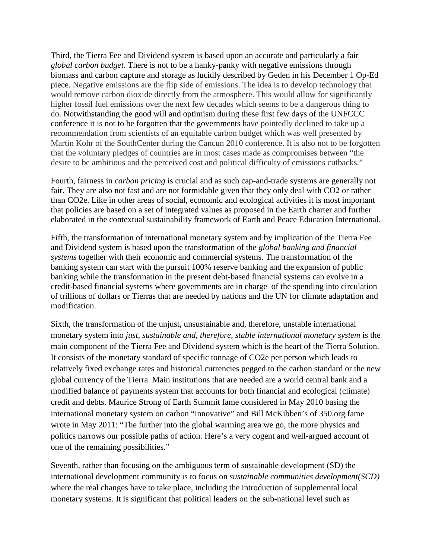Third, the Tierra Fee and Dividend system is based upon an accurate and particularly a fair *global carbon budget*. There is not to be a hanky-panky with negative emissions through biomass and carbon capture and storage as lucidly described by Geden in his December 1 Op-Ed piece. Negative emissions are the flip side of emissions. The idea is to develop technology that would remove carbon dioxide directly from the atmosphere. This would allow for significantly higher fossil fuel emissions over the next few decades which seems to be a dangerous thing to do. Notwithstanding the good will and optimism during these first few days of the UNFCCC conference it is not to be forgotten that the governments have pointedly declined to take up a recommendation from scientists of an equitable carbon budget which was well presented by Martin Kohr of the SouthCenter during the Cancun 2010 conference. It is also not to be forgotten that the voluntary pledges of countries are in most cases made as compromises between "the desire to be ambitious and the perceived cost and political difficulty of emissions cutbacks."

Fourth, fairness in *carbon pricing* is crucial and as such cap-and-trade systems are generally not fair. They are also not fast and are not formidable given that they only deal with CO2 or rather than CO2e. Like in other areas of social, economic and ecological activities it is most important that policies are based on a set of integrated values as proposed in the Earth charter and further elaborated in the contextual sustainability framework of Earth and Peace Education International.

Fifth, the transformation of international monetary system and by implication of the Tierra Fee and Dividend system is based upon the transformation of the *global banking and financial systems* together with their economic and commercial systems. The transformation of the banking system can start with the pursuit 100% reserve banking and the expansion of public banking while the transformation in the present debt-based financial systems can evolve in a credit-based financial systems where governments are in charge of the spending into circulation of trillions of dollars or Tierras that are needed by nations and the UN for climate adaptation and modification.

Sixth, the transformation of the unjust, unsustainable and, therefore, unstable international monetary system into *just, sustainable and, therefore, stable international monetary system* is the main component of the Tierra Fee and Dividend system which is the heart of the Tierra Solution. It consists of the monetary standard of specific tonnage of CO2e per person which leads to relatively fixed exchange rates and historical currencies pegged to the carbon standard or the new global currency of the Tierra. Main institutions that are needed are a world central bank and a modified balance of payments system that accounts for both financial and ecological (climate) credit and debts. Maurice Strong of Earth Summit fame considered in May 2010 basing the international monetary system on carbon "innovative" and Bill McKibben's of 350.org fame wrote in May 2011: "The further into the global warming area we go, the more physics and politics narrows our possible paths of action. Here's a very cogent and well-argued account of one of the remaining possibilities."

Seventh, rather than focusing on the ambiguous term of sustainable development (SD) the international development community is to focus on *sustainable communities development(SCD)*  where the real changes have to take place, including the introduction of supplemental local monetary systems. It is significant that political leaders on the sub-national level such as